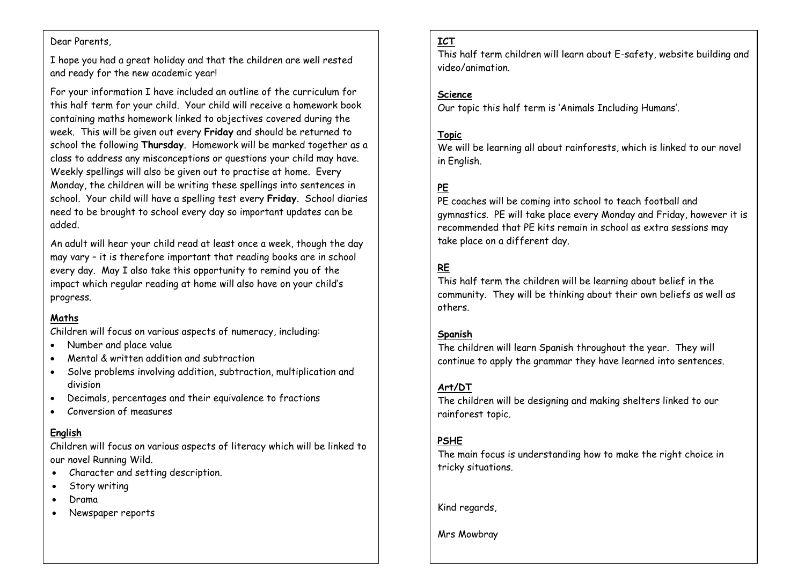#### Dear Parents,

I hope you had a great holiday and that the children are well rested and ready for the new academic year!

this half term for your child. Your child will receive a homework book For your information I have included an outline of the curriculum for containing maths homework linked to objectives covered during the week. This will be given out every **Friday** and should be returned to school the following **Thursday**. Homework will be marked together as a class to address any misconceptions or questions your child may have. Weekly spellings will also be given out to practise at home. Every Monday, the children will be writing these spellings into sentences in school. Your child will have a spelling test every **Friday**. School diaries need to be brought to school every day so important updates can be added.

An adult will hear your child read at least once a week, though the day may vary – it is therefore important that reading books are in school every day. May I also take this opportunity to remind you of the impact which regular reading at home will also have on your child's progress.

### **Maths**

Children will focus on various aspects of numeracy, including:

- Number and place value
- Mental & written addition and subtraction
- Solve problems involving addition, subtraction, multiplication and division
- Decimals, percentages and their equivalence to fractions
- Conversion of measures

## **English**

Children will focus on various aspects of literacy which will be linked to our novel Running Wild.

- Character and setting description.
- Story writing
- Drama
- Newspaper reports

## **ICT**

This half term children will learn about E-safety, website building and video/animation.

### **Science**

Our topic this half term is 'Animals Including Humans'.

### **Topic**

We will be learning all about rainforests, which is linked to our novel in English.

# **PE**

PE coaches will be coming into school to teach football and gymnastics. PE will take place every Monday and Friday, however it is recommended that PE kits remain in school as extra sessions may take place on a different day.

# **RE**

This half term the children will be learning about belief in the community. They will be thinking about their own beliefs as well as others.

### **Spanish**

The children will learn Spanish throughout the year. They will continue to apply the grammar they have learned into sentences.

### **Art/DT**

The children will be designing and making shelters linked to our rainforest topic.

### **PSHE**

The main focus is understanding how to make the right choice in tricky situations.

Kind regards,

Mrs Mowbray